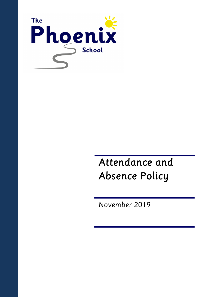

# *Attendance and Absence Policy*

*November 2019*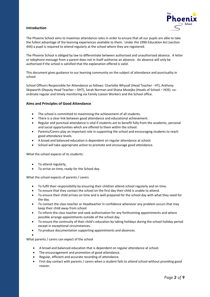

# **Introduction**

The Phoenix School aims to maximise attendance rates in order to ensure that all our pupils are able to take the fullest advantage of the learning experiences available to them. Under the 1996 Education Act (section 444) a pupil is required to attend regularly at the school where they are registered.

The Phoenix School is obliged by law to differentiate between authorised and unauthorised absence. A letter or telephone message from a parent does not in itself authorise an absence. An absence will only be authorised if the school is satisfied that the explanation offered is valid.

This document gives guidance to our learning community on the subject of attendance and punctuality in school.

School Officers Responsible for Attendance as follows: Charlotte Whysall (Head Teacher - HT), Anthony Skipworth (Deputy Head Teacher – DHT), Sarah Norman and Shana Mozejko (Heads of School – HOS) coordinate regular and timely monitoring via Family Liaison Workers and the School office.

# **Aims and Principles of Good Attendance**

- The school is committed to maximising the achievement of all students.
- There is a clear link between good attendance and educational achievement.
- Regular and punctual attendance is vital if students are to benefit fully from the academic, personal and social opportunities which are offered to them within the school.
- Parents/Carers play an important role in supporting the school and encouraging students to reach good attendance levels.
- A broad and balanced education is dependent on regular attendance at school.
- School will take appropriate action to promote and encourage good attendance.

What the school expects of its students:

- To attend regularly.
- To arrive on time, ready for the School day.

What the school expects of parents / carers

- To fulfil their responsibility by ensuring their children attend school regularly and on time.
- To ensure that they contact the school on the first day their child is unable to attend.
- To ensure their child arrives on time and is well prepared for the school day with what they need for the day.
- To contact the class teacher or Headteacher in confidence whenever any problem occurs that may keep their child away from school.
- To inform the class teacher and seek authorisation for any forthcoming appointments and where possible arrange appointments outside of the school day.
- To ensure the continuity of their child's education by taking holidays during the school holiday period except in exceptional circumstances.
- To produce documentation supporting appointments and absences.
- •

What parents / carers can expect of the school

- A broad and balanced education that is dependent on regular attendance at school.
- The encouragement and promotion of good attendance.
- Regular, efficient and accurate recording of attendance.
- First day contact with parents / carers when a student fails to attend school without providing good reason.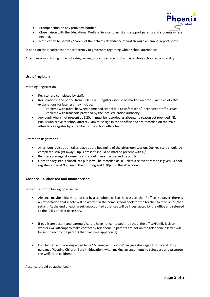

- Prompt action on any problems notified.
- Close liaison with the Educational Welfare Service to assist and support parents and students where needed.
- Notification to parents / carers of their child's attendance record through an annual report home.

In addition the Headteacher reports termly to governors regarding whole school attendance.

Attendance monitoring is part of safeguarding procedures in school and is a whole school accountability.

# **Use of registers**

#### Morning Registration

- Register are completed by staff.
- Registration is the period from 9.00 -9.20. Registers should be marked on time. Examples of valid explanations for lateness may include:
	- Problems with travel between home and school due to unforeseen/unexpected traffic issues
	- Problems with transport provided by the local education authority
- Any pupil who is not present at 9.20am must be recorded as absent, no reason yet provided (N). Pupils who arrive at school after 9.20am must sign in at the office and are recorded on the main attendance register by a member of the school office team

#### Afternoon Registration

- Afternoon registration takes place at the beginning of the afternoon session. Our registers should be completed straight away. Pupils present should be marked present with a /.
- Registers are legal documents and should never be marked by pupils.
- Once the register is closed late pupils will be recorded as 'u' unless a relevant reason is given. School registers close at 9.20am in the morning and 1.30pm in the afternoon.

# **Absence – authorised and unauthorised**

Procedures for following up absence:

- Absence maybe initially authorised by a telephone call to the class teacher / office. However, there is an expectation that a note will be written in the home school book for the teacher to read on his/her return. At the end of each week unaccounted absences will be investigated by the office and referred to the AHTs or HT if necessary.
- If pupils are absent and parents / carers have not contacted the school the office/Family Liaison workers will attempt to make contact by telephone. If parents are not on the telephone a letter will be sent direct to the parents that day. (See appendix 1)
- For children who are suspected to be "Missing in Education" we give due regard to the statutory guidance 'Keeping Children Safe in Education' when making arrangements to safeguard and promote the welfare of children.

Absence should be authorised if: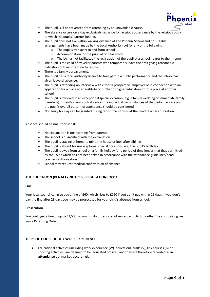

- The pupil is ill or prevented from attending by an unavoidable cause.
- The absence occurs on a day exclusively set aside for religious observance by the religious body to which the pupils' parents belong.
- The pupil does not live within walking distance of The Phoenix School and no suitable arrangements have been made by the Local Authority (LA) for any of the following:
	- o The pupil's transport to and from school
	- o Accommodation for the pupil at or near school
	- $\circ$  The LA has not facilitated the registration of the pupil at a school nearer to their home
- The pupil is the child of traveller parents who temporarily leave the area giving reasonable indication of their intention to return.
- There is a family bereavement.
- The pupil has a local authority licence to take part in a public performance and the school has given leave of absence.
- The pupil is attending an interview with either a prospective employer or in connection with an application for a place at an institute of further or higher education or for a place at another school.
- The pupil is involved in an exceptional special occasion (e.g. a family wedding of immediate family members). In authorising such absences the individual circumstances of the particular case and the pupil's overall pattern of attendance should be considered.
- No family holiday can be granted during term time this is at the head teachers discretion

Absence should be unauthorised if:

- No explanation is forthcoming from parents.
- The school is dissatisfied with the explanation.
- The pupil is staying at home to mind the house or look after siblings.
- The pupil is absent for unexceptional special occasions, e.g. the pupil's birthday.
- The pupil is away from school on a family holiday for a period of time longer that that permitted by the LA or which has not been taken in accordance with the attendance guidelines/head teachers authorisation.
- School may request medical confirmation of absence.

# **THE EDUCATION (PENALTY NOTICES) REGULATIONS 2007**

#### **Fine**

Your local council can give you a fine of £60, which rises to £120 if you don't pay within 21 days. If you don't pay the fine after 28 days you may be prosecuted for your child's absence from school.

#### **Prosecution**

You could get a fine of up to £2,500, a community order or a jail sentence up to 3 months. The court also gives you a Parenting Order.

# **TRIPS OUT OF SCHOOL / WORK EXPERIENCE**

• Educational activities (including work experience (W), educational visits (V), link courses (B) or sporting activities) are deemed to be 'educated off site', and they are therefore recorded as in **attendance** but marked accordingly.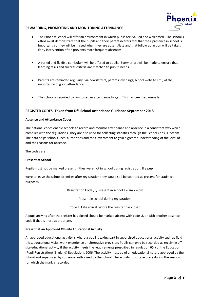

# **REWARDING, PROMOTING AND MONITORING ATTENDANCE**

- The Phoenix School will offer an environment in which pupils feel valued and welcomed. The school's ethos must demonstrate that the pupils and their parents/carers feel that their presence in school is important, so they will be missed when they are absent/late and that follow up action will be taken. Early intervention often prevents more frequent absences.
- A varied and flexible curriculum will be offered to pupils. Every effort will be made to ensure that learning tasks and success criteria are matched to pupil's needs.
- Parents are reminded regularly (via newsletters, parents' evenings, school website etc.) of the importance of good attendance.
- The school is required by law to set an attendance target. This has been set annually.

# **REGISTER CODES- Taken from DfE School attendance Guidance September 2018**

# **Absence and Attendance Codes**

The national codes enable schools to record and monitor attendance and absence in a consistent way which complies with the regulations. They are also used for collecting statistics through the School Census System. The data helps schools, local authorities and the Government to gain a greater understanding of the level of, and the reasons for absence.

The codes are:

# **Present at School**

Pupils must not be marked present if they were not in school during registration. If a pupil

were to leave the school premises after registration they would still be counted as present for statistical purposes.

Registration Code / \: Present in school / = am \ = pm

Present in school during registration.

Code L: Late arrival before the register has closed

A pupil arriving after the register has closed should be marked absent with code U, or with another absence code if that is more appropriate.

# **Present at an Approved Off-Site Educational Activity**

An approved educational activity is where a pupil is taking part in supervised educational activity such as field trips, educational visits, work experience or alternative provision. Pupils can only be recorded as receiving offsite educational activity if the activity meets the requirements prescribed in regulation 6(4) of the Education (Pupil Registration) (England) Regulations 2006. The activity must be of an educational nature approved by the school and supervised by someone authorised by the school. The activity must take place during the session for which the mark is recorded.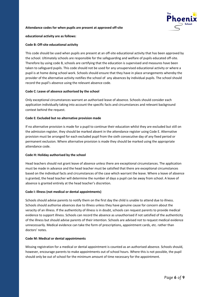

#### **Attendance codes for when pupils are present at approved off-site**

**educational activity are as follows:**

# **Code B: Off-site educational activity**

This code should be used when pupils are present at an off-site educational activity that has been approved by the school. Ultimately schools are responsible for the safeguarding and welfare of pupils educated off-site. Therefore by using code B, schools are certifying that the education is supervised and measures have been taken to safeguard pupils. This code should not be used for any unsupervised educational activity or where a pupil is at home doing school work. Schools should ensure that they have in place arrangements whereby the provider of the alternative activity notifies the school of any absences by individual pupils. The school should record the pupil's absence using the relevant absence code.

#### **Code C: Leave of absence authorised by the school**

Only exceptional circumstances warrant an authorised leave of absence. Schools should consider each application individually taking into account the specific facts and circumstances and relevant background context behind the request.

#### **Code E: Excluded but no alternative provision made**

If no alternative provision is made for a pupil to continue their education whilst they are excluded but still on the admission register, they should be marked absent in the attendance register using Code E. Alternative provision must be arranged for each excluded pupil from the sixth consecutive day of any fixed period or permanent exclusion. Where alternative provision is made they should be marked using the appropriate attendance code.

# **Code H: Holiday authorised by the school**

Head teachers should not grant leave of absence unless there are exceptional circumstances. The application must be made in advance and the head teacher must be satisfied that there are exceptional circumstances based on the individual facts and circumstances of the case which warrant the leave. Where a leave of absence is granted, the head teacher will determine the number of days a pupil can be away from school. A leave of absence is granted entirely at the head teacher's discretion.

# **Code I: Illness (not medical or dental appointments)**

Schools should advise parents to notify them on the first day the child is unable to attend due to illness. Schools should authorise absences due to illness unless they have genuine cause for concern about the veracity of an illness. If the authenticity of illness is in doubt, schools can request parents to provide medical evidence to support illness. Schools can record the absence as unauthorised if not satisfied of the authenticity of the illness but should advise parents of their intention. Schools are advised not to request medical evidence unnecessarily. Medical evidence can take the form of prescriptions, appointment cards, etc. rather than doctors' notes.

# **Code M: Medical or dental appointments**

Missing registration for a medical or dental appointment is counted as an authorised absence. Schools should, however, encourage parents to make appointments out of school hours. Where this is not possible, the pupil should only be out of school for the minimum amount of time necessary for the appointment.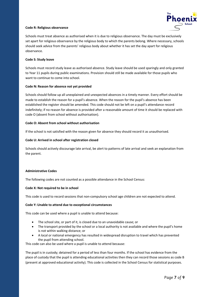

# **Code R: Religious observance**

Schools must treat absence as authorised when it is due to religious observance. The day must be exclusively set apart for religious observance by the religious body to which the parents belong. Where necessary, schools should seek advice from the parents' religious body about whether it has set the day apart for religious observance.

# **Code S: Study leave**

Schools must record study leave as authorised absence. Study leave should be used sparingly and only granted to Year 11 pupils during public examinations. Provision should still be made available for those pupils who want to continue to come into school.

# **Code N: Reason for absence not yet provided**

Schools should follow up all unexplained and unexpected absences in a timely manner. Every effort should be made to establish the reason for a pupil's absence. When the reason for the pupil's absence has been established the register should be amended. This code should not be left on a pupil's attendance record indefinitely; if no reason for absence is provided after a reasonable amount of time it should be replaced with code O (absent from school without authorisation).

# **Code O: Absent from school without authorisation**

If the school is not satisfied with the reason given for absence they should record it as unauthorised.

# **Code U: Arrived in school after registration closed**

Schools should actively discourage late arrival, be alert to patterns of late arrival and seek an explanation from the parent.

# **Administrative Codes**

The following codes are not counted as a possible attendance in the School Census:

# **Code X: Not required to be in school**

This code is used to record sessions that non-compulsory school age children are not expected to attend.

# **Code Y: Unable to attend due to exceptional circumstances**

This code can be used where a pupil is unable to attend because:

- The school site, or part of it, is closed due to an unavoidable cause; or
- The transport provided by the school or a local authority is not available and where the pupil's home is not within walking distance; or
- A local or national emergency has resulted in widespread disruption to travel which has prevented the pupil from attending school.

This code can also be used where a pupil is unable to attend because:

The pupil is in custody; detained for a period of less than four months. If the school has evidence from the place of custody that the pupil is attending educational activities then they can record those sessions as code B (present at approved educational activity). This code is collected in the School Census for statistical purposes.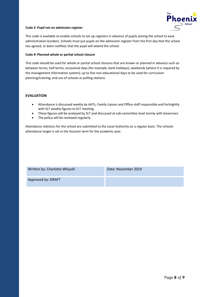

# **Code Z: Pupil not on admission register**

This code is available to enable schools to set up registers in advance of pupils joining the school to ease administration burdens. Schools must put pupils on the admission register from the first day that the school has agreed, or been notified, that the pupil will attend the school.

# **Code #: Planned whole or partial school closure**

This code should be used for whole or partial school closures that are known or planned in advance such as: between terms; half terms; occasional days (for example, bank holidays); weekends (where it is required by the management information system); up to five non-educational days to be used for curriculum planning/training; and use of schools as polling stations.

# **EVALUATION**

- Attendance is discussed weekly by AHTs, Family Liaison and Office staff responsible and fortnightly with SLT weekly figures to SLT meeting.
- These figures will be analysed by SLT and discussed at sub-committee level termly with Governors
- The policy will be reviewed regularly.

Attendance statistics for the school are submitted to the Local Authority on a regular basis. The schools attendance target is set in the Autumn term for the academic year.

| Written by: Charlotte Whysall | Date: November 2019 |
|-------------------------------|---------------------|
| Approved by: DRAFT            |                     |